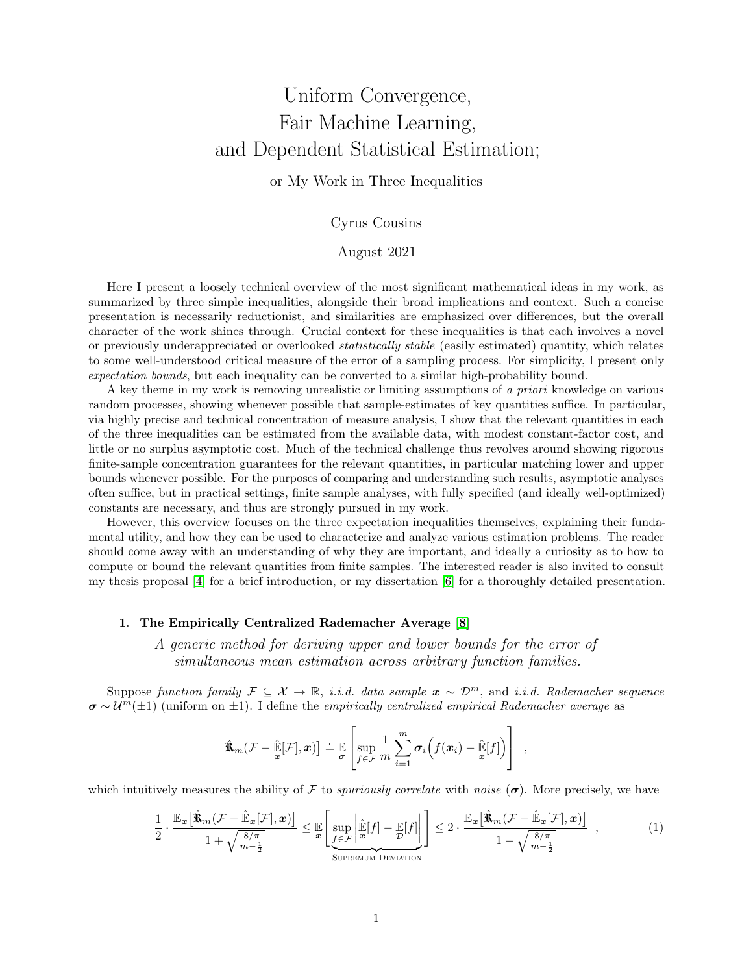# Uniform Convergence, Fair Machine Learning, and Dependent Statistical Estimation;

### or My Work in Three Inequalities

## Cyrus Cousins

#### August 2021

Here I present a loosely technical overview of the most significant mathematical ideas in my work, as summarized by three simple inequalities, alongside their broad implications and context. Such a concise presentation is necessarily reductionist, and similarities are emphasized over differences, but the overall character of the work shines through. Crucial context for these inequalities is that each involves a novel or previously underappreciated or overlooked statistically stable (easily estimated) quantity, which relates to some well-understood critical measure of the error of a sampling process. For simplicity, I present only expectation bounds, but each inequality can be converted to a similar high-probability bound.

A key theme in my work is removing unrealistic or limiting assumptions of a priori knowledge on various random processes, showing whenever possible that sample-estimates of key quantities suffice. In particular, via highly precise and technical concentration of measure analysis, I show that the relevant quantities in each of the three inequalities can be estimated from the available data, with modest constant-factor cost, and little or no surplus asymptotic cost. Much of the technical challenge thus revolves around showing rigorous finite-sample concentration guarantees for the relevant quantities, in particular matching lower and upper bounds whenever possible. For the purposes of comparing and understanding such results, asymptotic analyses often suffice, but in practical settings, finite sample analyses, with fully specified (and ideally well-optimized) constants are necessary, and thus are strongly pursued in my work.

However, this overview focuses on the three expectation inequalities themselves, explaining their fundamental utility, and how they can be used to characterize and analyze various estimation problems. The reader should come away with an understanding of why they are important, and ideally a curiosity as to how to compute or bound the relevant quantities from finite samples. The interested reader is also invited to consult my thesis proposal [\[4\]](#page-4-0) for a brief introduction, or my dissertation [\[6\]](#page-4-1) for a thoroughly detailed presentation.

#### 1. The Empirically Centralized Rademacher Average [\[8\]](#page-4-2)

A generic method for deriving upper and lower bounds for the error of simultaneous mean estimation across arbitrary function families.

Suppose function family  $\mathcal{F} \subset \mathcal{X} \to \mathbb{R}$ , *i.i.d.* data sample  $\mathbf{x} \sim \mathcal{D}^m$ , and *i.i.d.* Rademacher sequence  $\sigma \sim \mathcal{U}^m(\pm 1)$  (uniform on  $\pm 1$ ). I define the *empirically centralized empirical Rademacher average* as

$$
\hat{\mathbf{x}}_m(\mathcal{F} - \hat{\mathbb{E}}[\mathcal{F}], \mathbf{x}) = \mathbb{E}\left[\sup_{f \in \mathcal{F}} \frac{1}{m} \sum_{i=1}^m \sigma_i \Big(f(\mathbf{x}_i) - \hat{\mathbb{E}}[f]\Big)\right],
$$

which intuitively measures the ability of F to *spuriously correlate* with noise  $(\sigma)$ . More precisely, we have

<span id="page-0-0"></span>
$$
\frac{1}{2} \cdot \frac{\mathbb{E}_{\mathbf{x}}\left[\hat{\mathbf{x}}_{m}(\mathcal{F} - \hat{\mathbb{E}}_{\mathbf{x}}[\mathcal{F}], \mathbf{x})\right]}{1 + \sqrt{\frac{8/\pi}{m - \frac{1}{2}}}} \leq \mathbb{E}\left[\sup_{f \in \mathcal{F}}\left|\frac{\hat{\mathbb{E}}[f] - \mathbb{E}[f]}{\mathbf{x}}[f]\right| \right] \leq 2 \cdot \frac{\mathbb{E}_{\mathbf{x}}\left[\hat{\mathbf{x}}_{m}(\mathcal{F} - \hat{\mathbb{E}}_{\mathbf{x}}[\mathcal{F}], \mathbf{x})\right]}{1 - \sqrt{\frac{8/\pi}{m - \frac{1}{2}}}} ,\tag{1}
$$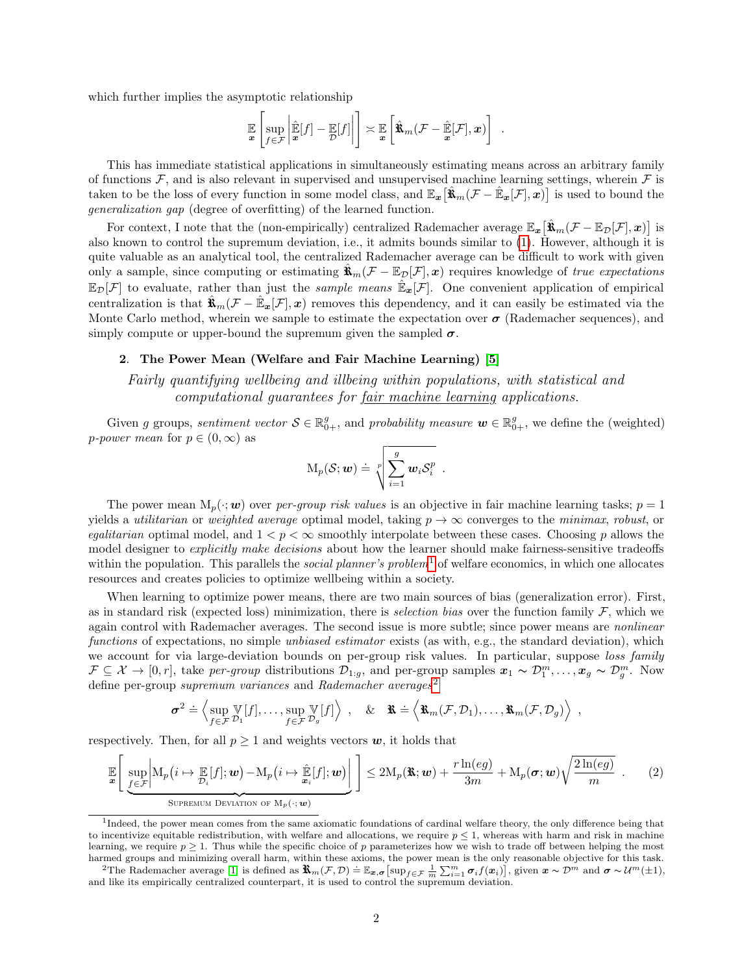which further implies the asymptotic relationship

$$
\mathbb{E}\left[\sup_{f\in\mathcal{F}}\left|\hat{\mathbb{E}}[f]-\mathbb{E}[f]\right|\right]\asymp \mathbb{E}\left[\hat{\mathbf{x}}_m(\mathcal{F}-\hat{\mathbb{E}}[\mathcal{F}],x)\right].
$$

This has immediate statistical applications in simultaneously estimating means across an arbitrary family of functions  $\mathcal{F}$ , and is also relevant in supervised and unsupervised machine learning settings, wherein  $\mathcal{F}$  is taken to be the loss of every function in some model class, and  $\mathbb{E}_{x}[\hat{\mathbf{x}}_{m}(\mathcal{F}-\hat{\mathbb{E}}_{x}[\mathcal{F}],x)]$  is used to bound the generalization gap (degree of overfitting) of the learned function.

For context, I note that the (non-empirically) centralized Rademacher average  $\mathbb{E}_{x}[\hat{\mathbf{x}}_{m}(\mathcal{F}-\mathbb{E}_{\mathcal{D}}[\mathcal{F}],x)]$  is also known to control the supremum deviation, i.e., it admits bounds similar to [\(1\)](#page-0-0). However, although it is quite valuable as an analytical tool, the centralized Rademacher average can be difficult to work with given only a sample, since computing or estimating  $\mathbf{\hat{x}}_m(\mathcal{F} - \mathbb{E}_{\mathcal{D}}[\mathcal{F}], x)$  requires knowledge of true expectations  $\mathbb{E}_{\mathcal{D}}[\mathcal{F}]$  to evaluate, rather than just the *sample means*  $\mathbb{E}_{x}[\mathcal{F}]$ . One convenient application of empirical centralization is that  $\hat{\mathbf{R}}_m(\mathcal{F} - \hat{\mathbb{E}}_{\mathbf{x}}[\mathcal{F}], \mathbf{x})$  removes this dependency, and it can easily be estimated via the Monte Carlo method, wherein we sample to estimate the expectation over  $\sigma$  (Rademacher sequences), and simply compute or upper-bound the supremum given the sampled  $\sigma$ .

#### 2. The Power Mean (Welfare and Fair Machine Learning) [\[5\]](#page-4-3)

Fairly quantifying wellbeing and illbeing within populations, with statistical and computational quarantees for fair machine learning applications.

Given g groups, sentiment vector  $S \in \mathbb{R}_{0+}^g$ , and probability measure  $\mathbf{w} \in \mathbb{R}_{0+}^g$ , we define the (weighted) *p*-power mean for  $p \in (0, \infty)$  as

$$
M_p(S; \boldsymbol{w}) \doteq \sqrt[p]{\sum_{i=1}^g \boldsymbol{w}_i \mathcal{S}_i^p}.
$$

The power mean  $M_p(\cdot; w)$  over per-group risk values is an objective in fair machine learning tasks;  $p = 1$ yields a *utilitarian* or *weighted average* optimal model, taking  $p \rightarrow \infty$  converges to the *minimax, robust*, or egalitarian optimal model, and  $1 < p < \infty$  smoothly interpolate between these cases. Choosing p allows the model designer to *explicitly make decisions* about how the learner should make fairness-sensitive tradeoffs within the population. This parallels the *social planner's problem*<sup>[1](#page-1-0)</sup> of welfare economics, in which one allocates resources and creates policies to optimize wellbeing within a society.

When learning to optimize power means, there are two main sources of bias (generalization error). First, as in standard risk (expected loss) minimization, there is *selection bias* over the function family  $\mathcal{F}$ , which we again control with Rademacher averages. The second issue is more subtle; since power means are *nonlinear* functions of expectations, no simple unbiased estimator exists (as with, e.g., the standard deviation), which we account for via large-deviation bounds on per-group risk values. In particular, suppose loss family  $\mathcal{F} \subseteq \mathcal{X} \to [0,r],$  take per-group distributions  $\mathcal{D}_{1:g}$ , and per-group samples  $\mathbf{x}_1 \sim \mathcal{D}_1^m, \ldots, \mathbf{x}_g \sim \mathcal{D}_g^m$ . Now define per-group supremum variances and Rademacher averages<sup>[2](#page-1-1)</sup>

$$
\boldsymbol{\sigma}^2 \doteq \left\langle \sup_{f \in \mathcal{F}} \mathbb{V}[f], \dots, \sup_{f \in \mathcal{F}} \mathbb{V}[f] \right\rangle , \quad \& \quad \mathbf{\hat{x}} = \left\langle \mathbf{\hat{x}}_m(\mathcal{F}, \mathcal{D}_1), \dots, \mathbf{\hat{x}}_m(\mathcal{F}, \mathcal{D}_g) \right\rangle ,
$$

respectively. Then, for all  $p \geq 1$  and weights vectors  $w$ , it holds that

<span id="page-1-2"></span>
$$
\mathbb{E}\left[\sup_{\underline{f}\in\mathcal{F}}\left|M_p(i\mapsto \mathbb{E}[f];\underline{w})-M_p(i\mapsto \hat{\mathbb{E}}[f];\underline{w})\right|\right] \leq 2M_p(\mathbf{\hat{x}};\underline{w})+\frac{r\ln(eg)}{3m}+M_p(\boldsymbol{\sigma};\underline{w})\sqrt{\frac{2\ln(eg)}{m}}.
$$
 (2)

<span id="page-1-0"></span><sup>&</sup>lt;sup>1</sup>Indeed, the power mean comes from the same axiomatic foundations of cardinal welfare theory, the only difference being that to incentivize equitable redistribution, with welfare and allocations, we require  $p \leq 1$ , whereas with harm and risk in machine learning, we require  $p \geq 1$ . Thus while the specific choice of p parameterizes how we wish to trade off between helping the most harmed groups and minimizing overall harm, within these axioms, the power mean is the only reasonable objective for this task.

<span id="page-1-1"></span>The Rademacher average [\[1\]](#page-4-4) is defined as  $\mathbf{\hat{X}}_m(\mathcal{F}, \mathcal{D}) = \mathbb{E}_{\mathbf{x}, \sigma} [\sup_{f \in \mathcal{F}} \frac{1}{m} \sum_{i=1}^m \sigma_i f(\mathbf{x}_i)]$ , given  $\mathbf{x} \sim \mathcal{D}^m$  and  $\sigma \sim \mathcal{U}^m(\pm 1)$ , and like its empirically centralized counterpart, it is used to control the supremum deviation.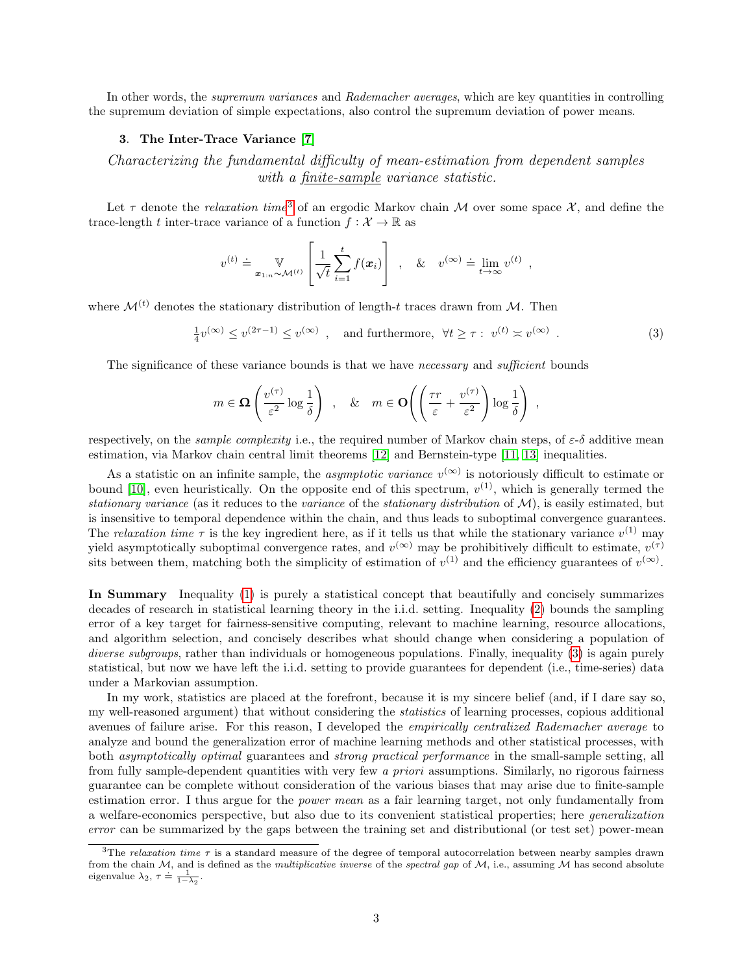In other words, the *supremum variances* and Rademacher averages, which are key quantities in controlling the supremum deviation of simple expectations, also control the supremum deviation of power means.

#### 3. The Inter-Trace Variance [\[7\]](#page-4-5)

Characterizing the fundamental difficulty of mean-estimation from dependent samples with a finite-sample variance statistic.

Let  $\tau$  denote the *relaxation time*<sup>[3](#page-2-0)</sup> of an ergodic Markov chain M over some space X, and define the trace-length t inter-trace variance of a function  $f: \mathcal{X} \to \mathbb{R}$  as

$$
v^{(t)} \doteq \mathbb{V}_{\mathbf{x}_{1:n} \sim \mathcal{M}^{(t)}} \left[ \frac{1}{\sqrt{t}} \sum_{i=1}^{t} f(\mathbf{x}_i) \right], \quad \& \quad v^{(\infty)} \doteq \lim_{t \to \infty} v^{(t)},
$$

where  $\mathcal{M}^{(t)}$  denotes the stationary distribution of length-t traces drawn from  $\mathcal{M}$ . Then

<span id="page-2-1"></span> $\frac{1}{4}v^{(\infty)} \leq v^{(2\tau-1)} \leq v^{(\infty)}$ , and furthermore,  $\forall t \geq \tau : v^{(t)} \approx v^{(\infty)}$ . (3)

The significance of these variance bounds is that we have necessary and sufficient bounds

$$
m \in \Omega \left( \frac{v^{(\tau)}}{\varepsilon^2} \log \frac{1}{\delta} \right) , \quad \& \quad m \in \mathbf{O} \left( \left( \frac{\tau r}{\varepsilon} + \frac{v^{(\tau)}}{\varepsilon^2} \right) \log \frac{1}{\delta} \right) ,
$$

respectively, on the *sample complexity* i.e., the required number of Markov chain steps, of  $\varepsilon$ -δ additive mean estimation, via Markov chain central limit theorems [\[12\]](#page-5-0) and Bernstein-type [\[11,](#page-5-1) [13\]](#page-5-2) inequalities.

As a statistic on an infinite sample, the *asymptotic variance*  $v^{(\infty)}$  is notoriously difficult to estimate or bound [\[10\]](#page-5-3), even heuristically. On the opposite end of this spectrum,  $v^{(1)}$ , which is generally termed the stationary variance (as it reduces to the variance of the stationary distribution of  $\mathcal{M}$ ), is easily estimated, but is insensitive to temporal dependence within the chain, and thus leads to suboptimal convergence guarantees. The relaxation time  $\tau$  is the key ingredient here, as if it tells us that while the stationary variance  $v^{(1)}$  may yield asymptotically suboptimal convergence rates, and  $v^{(\infty)}$  may be prohibitively difficult to estimate,  $v^{(\tau)}$ sits between them, matching both the simplicity of estimation of  $v^{(1)}$  and the efficiency guarantees of  $v^{(\infty)}$ .

In Summary Inequality [\(1\)](#page-0-0) is purely a statistical concept that beautifully and concisely summarizes decades of research in statistical learning theory in the i.i.d. setting. Inequality [\(2\)](#page-1-2) bounds the sampling error of a key target for fairness-sensitive computing, relevant to machine learning, resource allocations, and algorithm selection, and concisely describes what should change when considering a population of diverse subgroups, rather than individuals or homogeneous populations. Finally, inequality [\(3\)](#page-2-1) is again purely statistical, but now we have left the i.i.d. setting to provide guarantees for dependent (i.e., time-series) data under a Markovian assumption.

In my work, statistics are placed at the forefront, because it is my sincere belief (and, if I dare say so, my well-reasoned argument) that without considering the statistics of learning processes, copious additional avenues of failure arise. For this reason, I developed the empirically centralized Rademacher average to analyze and bound the generalization error of machine learning methods and other statistical processes, with both asymptotically optimal guarantees and strong practical performance in the small-sample setting, all from fully sample-dependent quantities with very few a priori assumptions. Similarly, no rigorous fairness guarantee can be complete without consideration of the various biases that may arise due to finite-sample estimation error. I thus argue for the power mean as a fair learning target, not only fundamentally from a welfare-economics perspective, but also due to its convenient statistical properties; here generalization error can be summarized by the gaps between the training set and distributional (or test set) power-mean

<span id="page-2-0"></span><sup>&</sup>lt;sup>3</sup>The relaxation time  $\tau$  is a standard measure of the degree of temporal autocorrelation between nearby samples drawn from the chain  $M$ , and is defined as the *multiplicative inverse* of the spectral gap of  $M$ , i.e., assuming  $M$  has second absolute eigenvalue  $\lambda_2$ ,  $\tau = \frac{1}{1-\lambda_2}$ .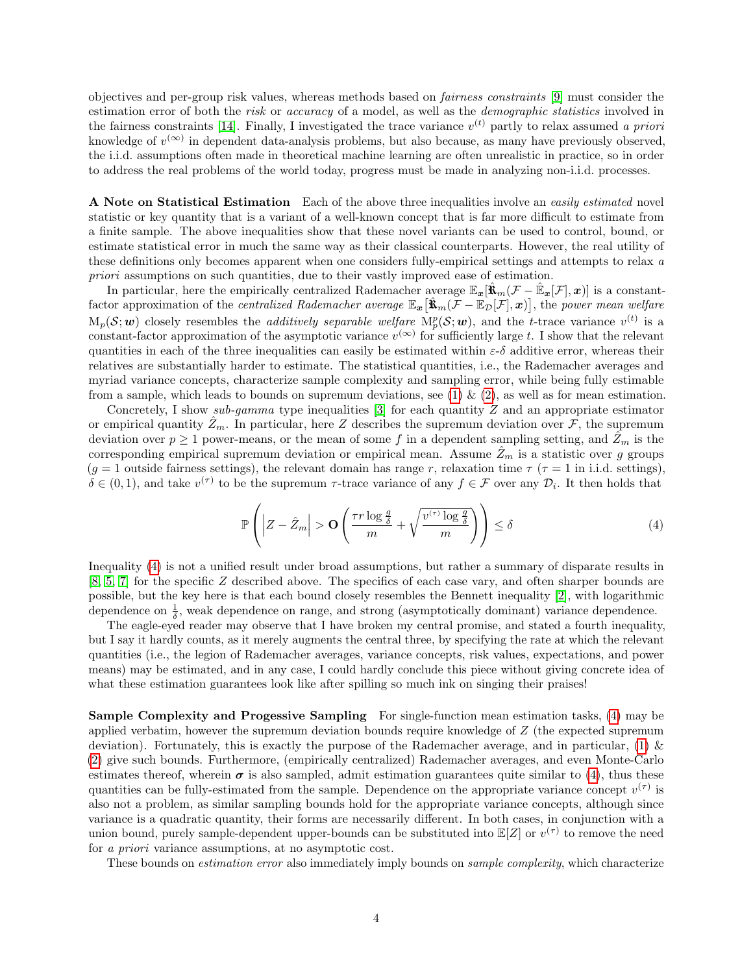objectives and per-group risk values, whereas methods based on fairness constraints [\[9\]](#page-5-4) must consider the estimation error of both the risk or accuracy of a model, as well as the demographic statistics involved in the fairness constraints [\[14\]](#page-5-5). Finally, I investigated the trace variance  $v^{(t)}$  partly to relax assumed a priori knowledge of  $v^{(\infty)}$  in dependent data-analysis problems, but also because, as many have previously observed, the i.i.d. assumptions often made in theoretical machine learning are often unrealistic in practice, so in order to address the real problems of the world today, progress must be made in analyzing non-i.i.d. processes.

A Note on Statistical Estimation Each of the above three inequalities involve an easily estimated novel statistic or key quantity that is a variant of a well-known concept that is far more difficult to estimate from a finite sample. The above inequalities show that these novel variants can be used to control, bound, or estimate statistical error in much the same way as their classical counterparts. However, the real utility of these definitions only becomes apparent when one considers fully-empirical settings and attempts to relax a priori assumptions on such quantities, due to their vastly improved ease of estimation.

In particular, here the empirically centralized Rademacher average  $\mathbb{E}_{x}[\hat{\mathbf{x}}_{m}(\mathcal{F}-\hat{\mathbb{E}}_{x}[\mathcal{F}],x)]$  is a constantfactor approximation of the *centralized Rademacher average*  $\mathbb{E}_{\bm{x}}[\hat{\mathbf{x}}_m(\mathcal{F}-\mathbb{E}_{\mathcal{D}}[\mathcal{F}],\bm{x})]$ , the *power mean welfare*  $M_p(\mathcal{S}; w)$  closely resembles the *additively separable welfare*  $M_p^p(\mathcal{S}; w)$ , and the *t*-trace variance  $v^{(t)}$  is a constant-factor approximation of the asymptotic variance  $v^{(\infty)}$  for sufficiently large t. I show that the relevant quantities in each of the three inequalities can easily be estimated within  $\varepsilon$ -δ additive error, whereas their relatives are substantially harder to estimate. The statistical quantities, i.e., the Rademacher averages and myriad variance concepts, characterize sample complexity and sampling error, while being fully estimable from a sample, which leads to bounds on supremum deviations, see [\(1\)](#page-0-0) & [\(2\)](#page-1-2), as well as for mean estimation.

Concretely, I show sub-gamma type inequalities  $[3]$  for each quantity Z and an appropriate estimator or empirical quantity  $Z_m$ . In particular, here Z describes the supremum deviation over F, the supremum deviation over  $p \ge 1$  power-means, or the mean of some f in a dependent sampling setting, and  $\hat{Z}_m$  is the corresponding empirical supremum deviation or empirical mean. Assume  $Z_m$  is a statistic over g groups  $(g = 1 \text{ outside fairness settings})$ , the relevant domain has range r, relaxation time  $\tau$  ( $\tau = 1$  in i.i.d. settings).  $\delta \in (0,1)$ , and take  $v^{(\tau)}$  to be the supremum  $\tau$ -trace variance of any  $f \in \mathcal{F}$  over any  $\mathcal{D}_i$ . It then holds that

<span id="page-3-0"></span>
$$
\mathbb{P}\left(\left|Z-\hat{Z}_m\right|>\mathbf{O}\left(\frac{\tau r\log\frac{g}{\delta}}{m}+\sqrt{\frac{v^{(\tau)}\log\frac{g}{\delta}}{m}}\right)\right)\leq\delta\tag{4}
$$

Inequality [\(4\)](#page-3-0) is not a unified result under broad assumptions, but rather a summary of disparate results in [\[8,](#page-4-2) [5,](#page-4-3) [7\]](#page-4-5) for the specific Z described above. The specifics of each case vary, and often sharper bounds are possible, but the key here is that each bound closely resembles the Bennett inequality [\[2\]](#page-4-7), with logarithmic dependence on  $\frac{1}{\delta}$ , weak dependence on range, and strong (asymptotically dominant) variance dependence.

The eagle-eyed reader may observe that I have broken my central promise, and stated a fourth inequality, but I say it hardly counts, as it merely augments the central three, by specifying the rate at which the relevant quantities (i.e., the legion of Rademacher averages, variance concepts, risk values, expectations, and power means) may be estimated, and in any case, I could hardly conclude this piece without giving concrete idea of what these estimation guarantees look like after spilling so much ink on singing their praises!

Sample Complexity and Progessive Sampling For single-function mean estimation tasks, [\(4\)](#page-3-0) may be applied verbatim, however the supremum deviation bounds require knowledge of Z (the expected supremum deviation). Fortunately, this is exactly the purpose of the Rademacher average, and in particular,  $(1)$  & [\(2\)](#page-1-2) give such bounds. Furthermore, (empirically centralized) Rademacher averages, and even Monte-Carlo estimates thereof, wherein  $\sigma$  is also sampled, admit estimation guarantees quite similar to [\(4\)](#page-3-0), thus these quantities can be fully-estimated from the sample. Dependence on the appropriate variance concept  $v^{(\tau)}$  is also not a problem, as similar sampling bounds hold for the appropriate variance concepts, although since variance is a quadratic quantity, their forms are necessarily different. In both cases, in conjunction with a union bound, purely sample-dependent upper-bounds can be substituted into  $\mathbb{E}[Z]$  or  $v^{(\tau)}$  to remove the need for a priori variance assumptions, at no asymptotic cost.

These bounds on *estimation error* also immediately imply bounds on *sample complexity*, which characterize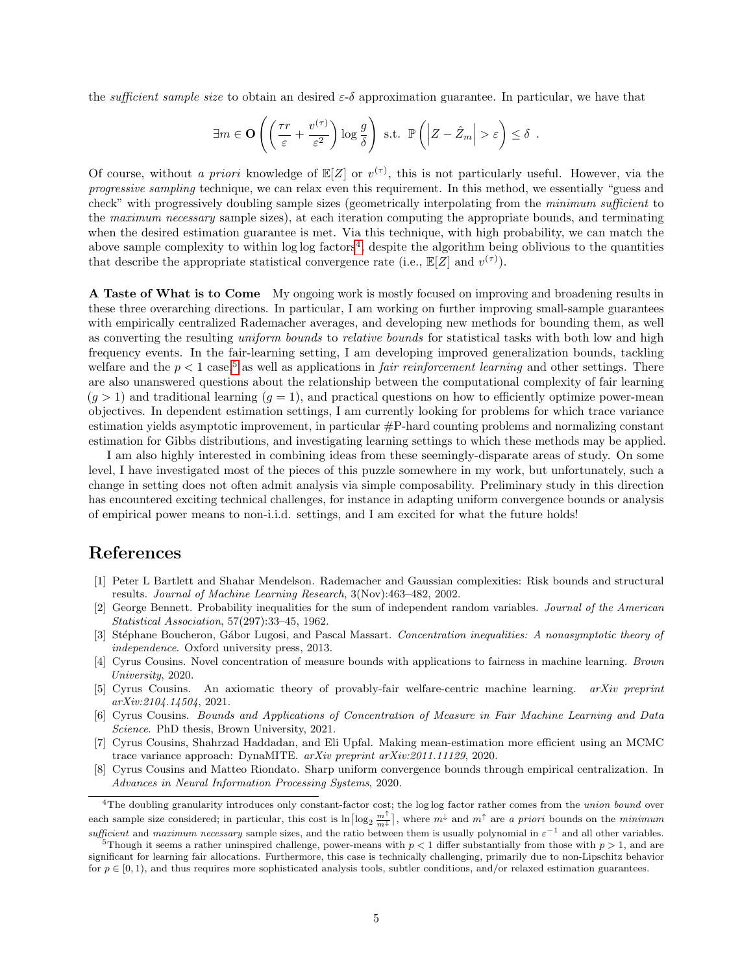the *sufficient sample size* to obtain an desired  $\varepsilon-\delta$  approximation guarantee. In particular, we have that

$$
\exists m \in \mathbf{O}\left(\left(\frac{\tau r}{\varepsilon} + \frac{v^{(\tau)}}{\varepsilon^2}\right) \log \frac{g}{\delta}\right) \text{ s.t. } \mathbb{P}\left(\left|Z - \hat{Z}_m\right| > \varepsilon\right) \le \delta.
$$

Of course, without a priori knowledge of  $\mathbb{E}[Z]$  or  $v^{(\tau)}$ , this is not particularly useful. However, via the progressive sampling technique, we can relax even this requirement. In this method, we essentially "guess and check" with progressively doubling sample sizes (geometrically interpolating from the minimum sufficient to the maximum necessary sample sizes), at each iteration computing the appropriate bounds, and terminating when the desired estimation guarantee is met. Via this technique, with high probability, we can match the above sample complexity to within  $\log \log$  factors<sup>[4](#page-4-8)</sup>, despite the algorithm being oblivious to the quantities that describe the appropriate statistical convergence rate (i.e.,  $\mathbb{E}[Z]$  and  $v^{(\tau)}$ ).

A Taste of What is to Come My ongoing work is mostly focused on improving and broadening results in these three overarching directions. In particular, I am working on further improving small-sample guarantees with empirically centralized Rademacher averages, and developing new methods for bounding them, as well as converting the resulting uniform bounds to relative bounds for statistical tasks with both low and high frequency events. In the fair-learning setting, I am developing improved generalization bounds, tackling welfare and the  $p < 1$  case,<sup>[5](#page-4-9)</sup> as well as applications in *fair reinforcement learning* and other settings. There are also unanswered questions about the relationship between the computational complexity of fair learning  $(g > 1)$  and traditional learning  $(g = 1)$ , and practical questions on how to efficiently optimize power-mean objectives. In dependent estimation settings, I am currently looking for problems for which trace variance estimation yields asymptotic improvement, in particular #P-hard counting problems and normalizing constant estimation for Gibbs distributions, and investigating learning settings to which these methods may be applied.

I am also highly interested in combining ideas from these seemingly-disparate areas of study. On some level, I have investigated most of the pieces of this puzzle somewhere in my work, but unfortunately, such a change in setting does not often admit analysis via simple composability. Preliminary study in this direction has encountered exciting technical challenges, for instance in adapting uniform convergence bounds or analysis of empirical power means to non-i.i.d. settings, and I am excited for what the future holds!

# References

- <span id="page-4-4"></span>[1] Peter L Bartlett and Shahar Mendelson. Rademacher and Gaussian complexities: Risk bounds and structural results. Journal of Machine Learning Research, 3(Nov):463–482, 2002.
- <span id="page-4-7"></span>[2] George Bennett. Probability inequalities for the sum of independent random variables. Journal of the American Statistical Association, 57(297):33–45, 1962.
- <span id="page-4-6"></span>[3] Stéphane Boucheron, Gábor Lugosi, and Pascal Massart. Concentration inequalities: A nonasymptotic theory of independence. Oxford university press, 2013.
- <span id="page-4-0"></span>[4] Cyrus Cousins. Novel concentration of measure bounds with applications to fairness in machine learning. Brown University, 2020.
- <span id="page-4-3"></span>[5] Cyrus Cousins. An axiomatic theory of provably-fair welfare-centric machine learning. arXiv preprint arXiv:2104.14504, 2021.
- <span id="page-4-1"></span>[6] Cyrus Cousins. Bounds and Applications of Concentration of Measure in Fair Machine Learning and Data Science. PhD thesis, Brown University, 2021.
- <span id="page-4-5"></span>[7] Cyrus Cousins, Shahrzad Haddadan, and Eli Upfal. Making mean-estimation more efficient using an MCMC trace variance approach: DynaMITE. arXiv preprint arXiv:2011.11129, 2020.
- <span id="page-4-2"></span>[8] Cyrus Cousins and Matteo Riondato. Sharp uniform convergence bounds through empirical centralization. In Advances in Neural Information Processing Systems, 2020.

<span id="page-4-8"></span><sup>&</sup>lt;sup>4</sup>The doubling granularity introduces only constant-factor cost; the log log factor rather comes from the *union bound* over each sample size considered; in particular, this cost is  $\ln \left[\log_2 \frac{m}{m^{\frac{1}{\lambda}}}\right]$ , where  $m^{\frac{1}{\lambda}}$  and  $m^{\uparrow}$  are a priori bounds on the minimum sufficient and maximum necessary sample sizes, and the ratio between them is usually polynomial in  $\varepsilon^{-1}$  and all other variables.

<span id="page-4-9"></span><sup>&</sup>lt;sup>5</sup>Though it seems a rather uninspired challenge, power-means with  $p < 1$  differ substantially from those with  $p > 1$ , and are significant for learning fair allocations. Furthermore, this case is technically challenging, primarily due to non-Lipschitz behavior for  $p \in [0, 1)$ , and thus requires more sophisticated analysis tools, subtler conditions, and/or relaxed estimation guarantees.